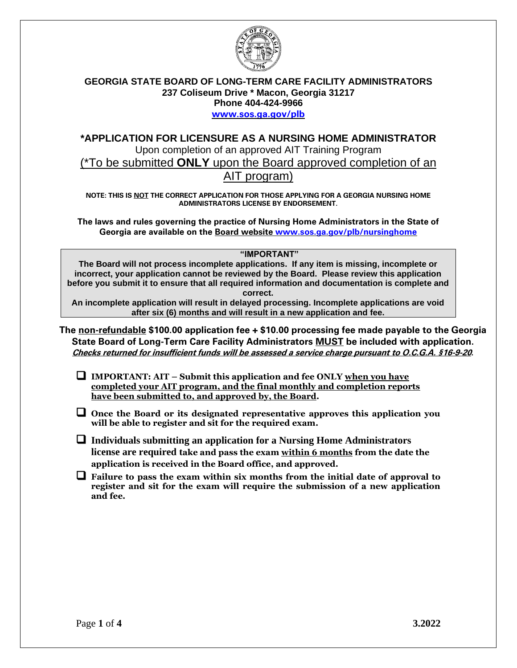

## **GEORGIA STATE BOARD OF LONG-TERM CARE FACILITY ADMINISTRATORS 237 Coliseum Drive \* Macon, Georgia 31217 Phone 404-424-9966** [www.sos.ga.gov/plb](http://www.sos.ga.gov/plb)

# **\*APPLICATION FOR LICENSURE AS A NURSING HOME ADMINISTRATOR**  Upon completion of an approved AIT Training Program (\*To be submitted **ONLY** upon the Board approved completion of an AIT program)

**NOTE: THIS IS NOT THE CORRECT APPLICATION FOR THOSE APPLYING FOR A GEORGIA NURSING HOME ADMINISTRATORS LICENSE BY ENDORSEMENT.** 

**The laws and rules governing the practice of Nursing Home Administrators in the State of Georgia are available on the Board website [www.sos.ga.gov/plb/nursinghome](http://www.sos.ga.gov/plb/nursinghome)**

### **"IMPORTANT"**

**The Board will not process incomplete applications. If any item is missing, incomplete or incorrect, your application cannot be reviewed by the Board. Please review this application before you submit it to ensure that all required information and documentation is complete and correct.** 

**An incomplete application will result in delayed processing. Incomplete applications are void after six (6) months and will result in a new application and fee.**

**The non-refundable \$100.00 application fee + \$10.00 processing fee made payable to the Georgia State Board of Long-Term Care Facility Administrators MUST be included with application. Checks returned for insufficient funds will be assessed a service charge pursuant to O.C.G.A. §16-9-20.**

❑ **IMPORTANT: AIT – Submit this application and fee ONLY when you have completed your AIT program, and the final monthly and completion reports have been submitted to, and approved by, the Board.** 

❑ **Once the Board or its designated representative approves this application you will be able to register and sit for the required exam.** 

❑ **Individuals submitting an application for a Nursing Home Administrators license are required take and pass the exam within 6 months from the date the application is received in the Board office, and approved.**

❑ **Failure to pass the exam within six months from the initial date of approval to register and sit for the exam will require the submission of a new application and fee.**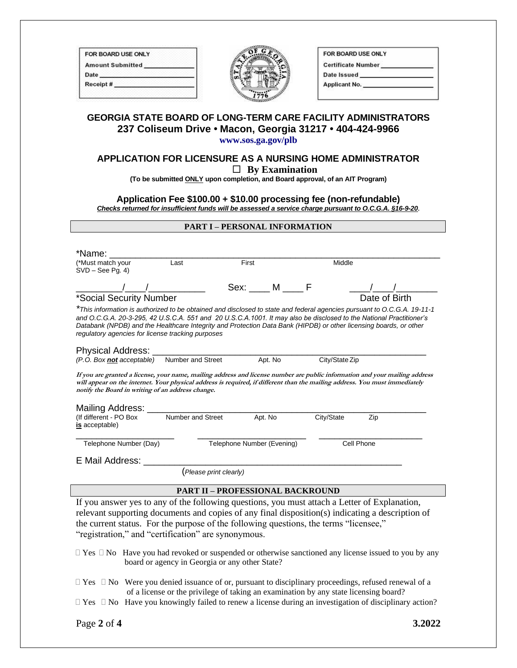| FOR BOARD USE ONLY      |  |
|-------------------------|--|
| <b>Amount Submitted</b> |  |
| Date                    |  |
| Receipt#                |  |
|                         |  |



| FOR BOARD USE ONLY        |  |
|---------------------------|--|
| <b>Certificate Number</b> |  |
| Date Issued               |  |
| <b>Applicant No.</b>      |  |

### **GEORGIA STATE BOARD OF LONG-TERM CARE FACILITY ADMINISTRATORS 237 Coliseum Drive • Macon, Georgia 31217 • 404-424-9966 www.sos.ga.gov/plb**

# **APPLICATION FOR LICENSURE AS A NURSING HOME ADMINISTRATOR By Examination**

**(To be submitted ONLY upon completion, and Board approval, of an AIT Program)**

#### **Application Fee \$100.00 + \$10.00 processing fee (non-refundable)** *Checks returned for insufficient funds will be assessed a service charge pursuant to O.C.G.A. §16-9-20***.**

#### **PART I – PERSONAL INFORMATION**

| *Name:<br>(*Must match your<br>$SVD - See$ Pg. 4)                                                                                                                                                                                                                                                                                                                                                                         | Last              | First                      |         | Middle         |               |  |
|---------------------------------------------------------------------------------------------------------------------------------------------------------------------------------------------------------------------------------------------------------------------------------------------------------------------------------------------------------------------------------------------------------------------------|-------------------|----------------------------|---------|----------------|---------------|--|
|                                                                                                                                                                                                                                                                                                                                                                                                                           |                   | Sex: M F                   |         |                |               |  |
| *Social Security Number                                                                                                                                                                                                                                                                                                                                                                                                   |                   |                            |         |                | Date of Birth |  |
| *This information is authorized to be obtained and disclosed to state and federal agencies pursuant to O.C.G.A. 19-11-1<br>and O.C.G.A. 20-3-295, 42 U.S.C.A. 551 and 20 U.S.C.A. 1001. It may also be disclosed to the National Practitioner's<br>Databank (NPDB) and the Healthcare Integrity and Protection Data Bank (HIPDB) or other licensing boards, or other<br>regulatory agencies for license tracking purposes |                   |                            |         |                |               |  |
| Physical Address: _______<br>(P.O. Box not acceptable) Number and Street                                                                                                                                                                                                                                                                                                                                                  |                   |                            | Apt. No | City/State Zip |               |  |
| If you are granted a license, your name, mailing address and license number are public information and your mailing address<br>will appear on the internet. Your physical address is required, if different than the mailing address. You must immediately<br>notify the Board in writing of an address change.                                                                                                           |                   |                            |         |                |               |  |
| Mailing Address: _______<br>(If different - PO Box<br>is acceptable)                                                                                                                                                                                                                                                                                                                                                      | Number and Street |                            | Apt. No | City/State     | Zip           |  |
| Telephone Number (Day)                                                                                                                                                                                                                                                                                                                                                                                                    |                   | Telephone Number (Evening) |         |                | Cell Phone    |  |
| E Mail Address:                                                                                                                                                                                                                                                                                                                                                                                                           |                   |                            |         |                |               |  |
| (Please print clearly)                                                                                                                                                                                                                                                                                                                                                                                                    |                   |                            |         |                |               |  |
| <b>PART II - PROFESSIONAL BACKROUND</b>                                                                                                                                                                                                                                                                                                                                                                                   |                   |                            |         |                |               |  |
| If you answer yes to any of the following questions, you must attach a Letter of Explanation,                                                                                                                                                                                                                                                                                                                             |                   |                            |         |                |               |  |

relevant supporting documents and copies of any final disposition(s) indicating a description of the current status. For the purpose of the following questions, the terms "licensee," "registration," and "certification" are synonymous.

 $\Box$  Yes  $\Box$  No Have you had revoked or suspended or otherwise sanctioned any license issued to you by any board or agency in Georgia or any other State?

- $\Box$  Yes  $\Box$  No Were you denied issuance of or, pursuant to disciplinary proceedings, refused renewal of a of a license or the privilege of taking an examination by any state licensing board?
- $\Box$  Yes  $\Box$  No Have you knowingly failed to renew a license during an investigation of disciplinary action?

Page **2** of **4 3.2022**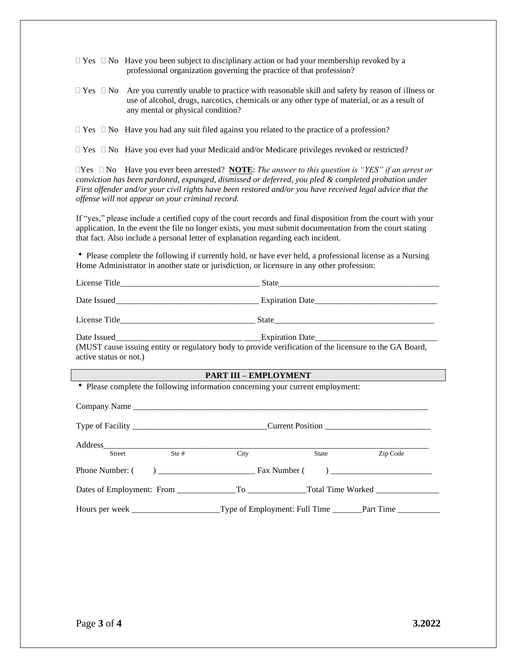$\Box$  Yes  $\Box$  No Have you been subject to disciplinary action or had your membership revoked by a professional organization governing the practice of that profession?

 $\Box$  Yes  $\Box$  No Are you currently unable to practice with reasonable skill and safety by reason of illness or use of alcohol, drugs, narcotics, chemicals or any other type of material, or as a result of any mental or physical condition?

 $\Box$  Yes  $\Box$  No Have you ever had your Medicaid and/or Medicare privileges revoked or restricted?

Yes No Have you ever been arrested? **NOTE**: *The answer to this question is "YES" if an arrest or conviction has been pardoned, expunged, dismissed or deferred, you pled & completed probation under First offender and/or your civil rights have been restored and/or you have received legal advice that the offense will not appear on your criminal record.*

If "yes," please include a certified copy of the court records and final disposition from the court with your application. In the event the file no longer exists, you must submit documentation from the court stating that fact. Also include a personal letter of explanation regarding each incident.

 Please complete the following if currently hold, or have ever held, a professional license as a Nursing Home Administrator in another state or jurisdiction, or licensure in any other profession:

| active status or not.)       | (MUST cause issuing entity or regulatory body to provide verification of the licensure to the GA Board, |  |  |  |  |
|------------------------------|---------------------------------------------------------------------------------------------------------|--|--|--|--|
| <b>PART III - EMPLOYMENT</b> |                                                                                                         |  |  |  |  |
|                              | • Please complete the following information concerning your current employment:                         |  |  |  |  |
|                              |                                                                                                         |  |  |  |  |
|                              |                                                                                                         |  |  |  |  |
| <b>Street</b>                | City<br>State Zip Code                                                                                  |  |  |  |  |
|                              |                                                                                                         |  |  |  |  |
|                              |                                                                                                         |  |  |  |  |
|                              |                                                                                                         |  |  |  |  |

 $\Box$  Yes  $\Box$  No Have you had any suit filed against you related to the practice of a profession?